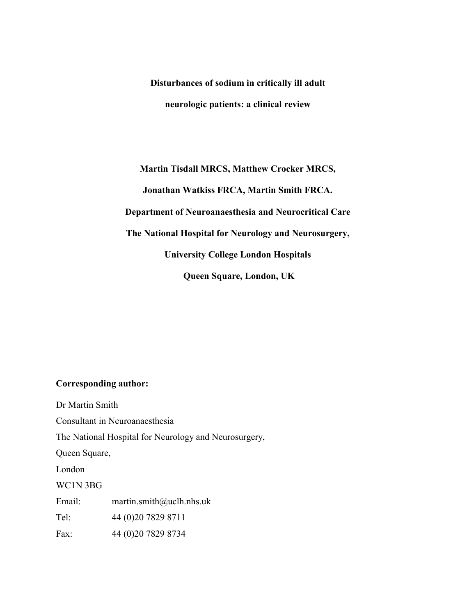Disturbances of sodium in critically ill adult neurologic patients: a clinical review

Martin Tisdall MRCS, Matthew Crocker MRCS, Jonathan Watkiss FRCA, Martin Smith FRCA. Department of Neuroanaesthesia and Neurocritical Care The National Hospital for Neurology and Neurosurgery, University College London Hospitals Queen Square, London, UK

#### Corresponding author:

Dr Martin Smith Consultant in Neuroanaesthesia The National Hospital for Neurology and Neurosurgery, Queen Square, London WC1N 3BG Email: martin.smith@uclh.nhs.uk Tel: 44 (0)20 7829 8711 Fax: 44 (0)20 7829 8734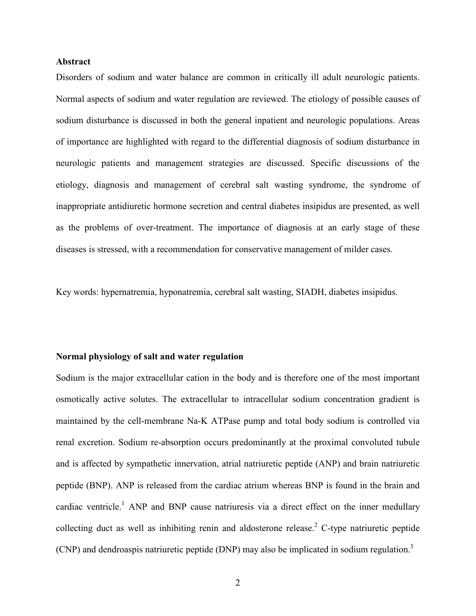#### Abstract

Disorders of sodium and water balance are common in critically ill adult neurologic patients. Normal aspects of sodium and water regulation are reviewed. The etiology of possible causes of sodium disturbance is discussed in both the general inpatient and neurologic populations. Areas of importance are highlighted with regard to the differential diagnosis of sodium disturbance in neurologic patients and management strategies are discussed. Specific discussions of the etiology, diagnosis and management of cerebral salt wasting syndrome, the syndrome of inappropriate antidiuretic hormone secretion and central diabetes insipidus are presented, as well as the problems of over-treatment. The importance of diagnosis at an early stage of these diseases is stressed, with a recommendation for conservative management of milder cases.

Key words: hypernatremia, hyponatremia, cerebral salt wasting, SIADH, diabetes insipidus.

#### Normal physiology of salt and water regulation

Sodium is the major extracellular cation in the body and is therefore one of the most important osmotically active solutes. The extracellular to intracellular sodium concentration gradient is maintained by the cell-membrane Na-K ATPase pump and total body sodium is controlled via renal excretion. Sodium re-absorption occurs predominantly at the proximal convoluted tubule and is affected by sympathetic innervation, atrial natriuretic peptide (ANP) and brain natriuretic peptide (BNP). ANP is released from the cardiac atrium whereas BNP is found in the brain and cardiac ventricle.<sup>1</sup> ANP and BNP cause natriuresis via a direct effect on the inner medullary collecting duct as well as inhibiting renin and aldosterone release.<sup>2</sup> C-type natriuretic peptide (CNP) and dendroaspis natriuretic peptide (DNP) may also be implicated in sodium regulation.<sup>3</sup>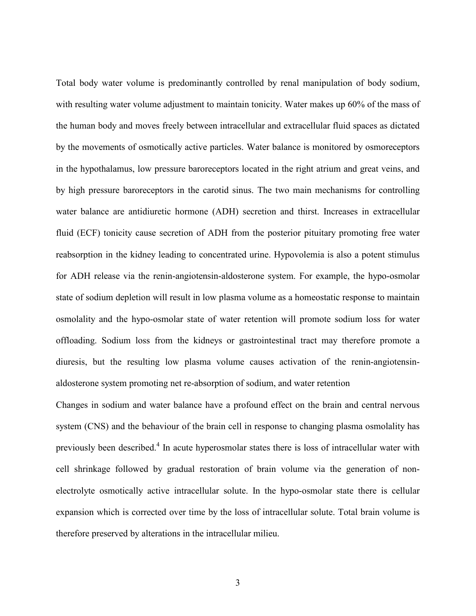Total body water volume is predominantly controlled by renal manipulation of body sodium, with resulting water volume adjustment to maintain tonicity. Water makes up 60% of the mass of the human body and moves freely between intracellular and extracellular fluid spaces as dictated by the movements of osmotically active particles. Water balance is monitored by osmoreceptors in the hypothalamus, low pressure baroreceptors located in the right atrium and great veins, and by high pressure baroreceptors in the carotid sinus. The two main mechanisms for controlling water balance are antidiuretic hormone (ADH) secretion and thirst. Increases in extracellular fluid (ECF) tonicity cause secretion of ADH from the posterior pituitary promoting free water reabsorption in the kidney leading to concentrated urine. Hypovolemia is also a potent stimulus for ADH release via the renin-angiotensin-aldosterone system. For example, the hypo-osmolar state of sodium depletion will result in low plasma volume as a homeostatic response to maintain osmolality and the hypo-osmolar state of water retention will promote sodium loss for water offloading. Sodium loss from the kidneys or gastrointestinal tract may therefore promote a diuresis, but the resulting low plasma volume causes activation of the renin-angiotensinaldosterone system promoting net re-absorption of sodium, and water retention

Changes in sodium and water balance have a profound effect on the brain and central nervous system (CNS) and the behaviour of the brain cell in response to changing plasma osmolality has previously been described.<sup>4</sup> In acute hyperosmolar states there is loss of intracellular water with cell shrinkage followed by gradual restoration of brain volume via the generation of nonelectrolyte osmotically active intracellular solute. In the hypo-osmolar state there is cellular expansion which is corrected over time by the loss of intracellular solute. Total brain volume is therefore preserved by alterations in the intracellular milieu.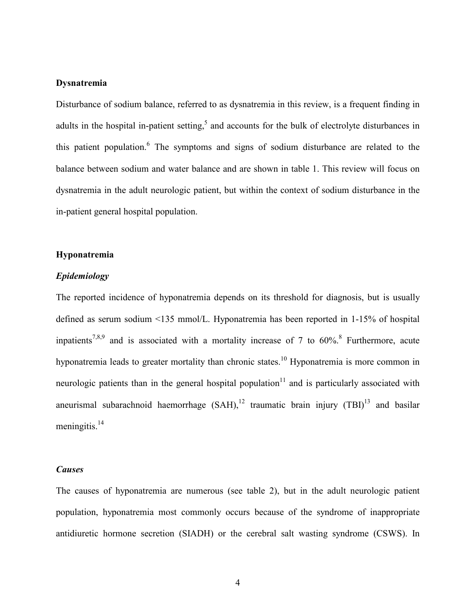### Dysnatremia

Disturbance of sodium balance, referred to as dysnatremia in this review, is a frequent finding in adults in the hospital in-patient setting,<sup>5</sup> and accounts for the bulk of electrolyte disturbances in this patient population.<sup>6</sup> The symptoms and signs of sodium disturbance are related to the balance between sodium and water balance and are shown in table 1. This review will focus on dysnatremia in the adult neurologic patient, but within the context of sodium disturbance in the in-patient general hospital population.

#### Hyponatremia

#### Epidemiology

The reported incidence of hyponatremia depends on its threshold for diagnosis, but is usually defined as serum sodium <135 mmol/L. Hyponatremia has been reported in 1-15% of hospital inpatients<sup>7,8,9</sup> and is associated with a mortality increase of 7 to  $60\%$ <sup>8</sup> Furthermore, acute hyponatremia leads to greater mortality than chronic states.<sup>10</sup> Hyponatremia is more common in neurologic patients than in the general hospital population<sup>11</sup> and is particularly associated with aneurismal subarachnoid haemorrhage  $(SAH)$ ,<sup>12</sup> traumatic brain injury  $(TBI)$ <sup>13</sup> and basilar meningitis. $14$ 

#### Causes

The causes of hyponatremia are numerous (see table 2), but in the adult neurologic patient population, hyponatremia most commonly occurs because of the syndrome of inappropriate antidiuretic hormone secretion (SIADH) or the cerebral salt wasting syndrome (CSWS). In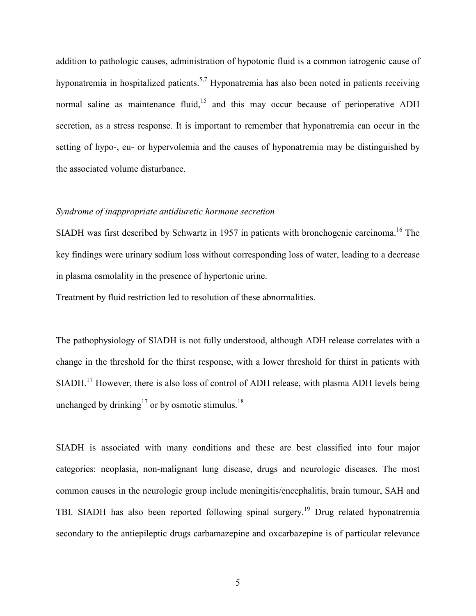addition to pathologic causes, administration of hypotonic fluid is a common iatrogenic cause of hyponatremia in hospitalized patients.<sup>5,7</sup> Hyponatremia has also been noted in patients receiving normal saline as maintenance fluid, $15$  and this may occur because of perioperative ADH secretion, as a stress response. It is important to remember that hyponatremia can occur in the setting of hypo-, eu- or hypervolemia and the causes of hyponatremia may be distinguished by the associated volume disturbance.

#### Syndrome of inappropriate antidiuretic hormone secretion

SIADH was first described by Schwartz in 1957 in patients with bronchogenic carcinoma.<sup>16</sup> The key findings were urinary sodium loss without corresponding loss of water, leading to a decrease in plasma osmolality in the presence of hypertonic urine.

Treatment by fluid restriction led to resolution of these abnormalities.

The pathophysiology of SIADH is not fully understood, although ADH release correlates with a change in the threshold for the thirst response, with a lower threshold for thirst in patients with SIADH.<sup>17</sup> However, there is also loss of control of ADH release, with plasma ADH levels being unchanged by drinking<sup>17</sup> or by osmotic stimulus.<sup>18</sup>

SIADH is associated with many conditions and these are best classified into four major categories: neoplasia, non-malignant lung disease, drugs and neurologic diseases. The most common causes in the neurologic group include meningitis/encephalitis, brain tumour, SAH and TBI. SIADH has also been reported following spinal surgery.<sup>19</sup> Drug related hyponatremia secondary to the antiepileptic drugs carbamazepine and oxcarbazepine is of particular relevance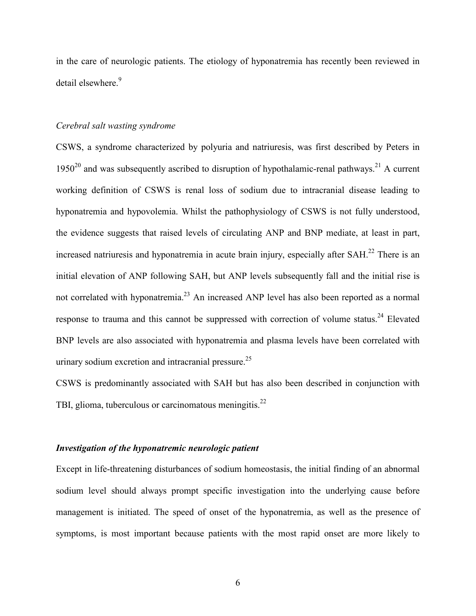in the care of neurologic patients. The etiology of hyponatremia has recently been reviewed in detail elsewhere.<sup>9</sup>

#### Cerebral salt wasting syndrome

CSWS, a syndrome characterized by polyuria and natriuresis, was first described by Peters in  $1950^{20}$  and was subsequently ascribed to disruption of hypothalamic-renal pathways.<sup>21</sup> A current working definition of CSWS is renal loss of sodium due to intracranial disease leading to hyponatremia and hypovolemia. Whilst the pathophysiology of CSWS is not fully understood, the evidence suggests that raised levels of circulating ANP and BNP mediate, at least in part, increased natriuresis and hyponatremia in acute brain injury, especially after SAH.<sup>22</sup> There is an initial elevation of ANP following SAH, but ANP levels subsequently fall and the initial rise is not correlated with hyponatremia.<sup>23</sup> An increased ANP level has also been reported as a normal response to trauma and this cannot be suppressed with correction of volume status.<sup>24</sup> Elevated BNP levels are also associated with hyponatremia and plasma levels have been correlated with urinary sodium excretion and intracranial pressure.<sup>25</sup>

CSWS is predominantly associated with SAH but has also been described in conjunction with TBI, glioma, tuberculous or carcinomatous meningitis. $^{22}$ 

#### Investigation of the hyponatremic neurologic patient

Except in life-threatening disturbances of sodium homeostasis, the initial finding of an abnormal sodium level should always prompt specific investigation into the underlying cause before management is initiated. The speed of onset of the hyponatremia, as well as the presence of symptoms, is most important because patients with the most rapid onset are more likely to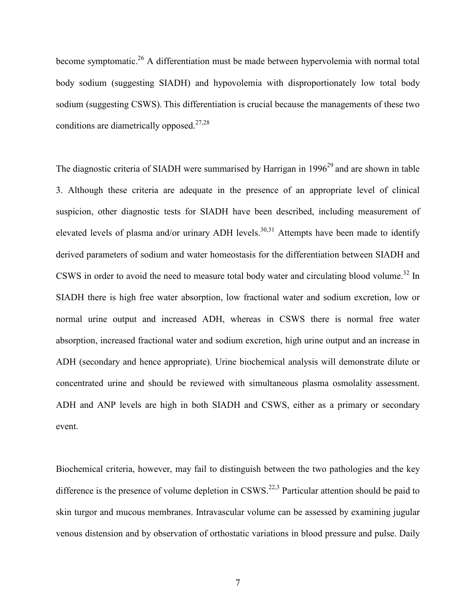become symptomatic.<sup>26</sup> A differentiation must be made between hypervolemia with normal total body sodium (suggesting SIADH) and hypovolemia with disproportionately low total body sodium (suggesting CSWS). This differentiation is crucial because the managements of these two conditions are diametrically opposed. $27,28$ 

The diagnostic criteria of SIADH were summarised by Harrigan in  $1996<sup>29</sup>$  and are shown in table 3. Although these criteria are adequate in the presence of an appropriate level of clinical suspicion, other diagnostic tests for SIADH have been described, including measurement of elevated levels of plasma and/or urinary ADH levels.<sup>30,31</sup> Attempts have been made to identify derived parameters of sodium and water homeostasis for the differentiation between SIADH and CSWS in order to avoid the need to measure total body water and circulating blood volume.<sup>32</sup> In SIADH there is high free water absorption, low fractional water and sodium excretion, low or normal urine output and increased ADH, whereas in CSWS there is normal free water absorption, increased fractional water and sodium excretion, high urine output and an increase in ADH (secondary and hence appropriate). Urine biochemical analysis will demonstrate dilute or concentrated urine and should be reviewed with simultaneous plasma osmolality assessment. ADH and ANP levels are high in both SIADH and CSWS, either as a primary or secondary event.

Biochemical criteria, however, may fail to distinguish between the two pathologies and the key difference is the presence of volume depletion in  $CSWS$ <sup>22,3</sup> Particular attention should be paid to skin turgor and mucous membranes. Intravascular volume can be assessed by examining jugular venous distension and by observation of orthostatic variations in blood pressure and pulse. Daily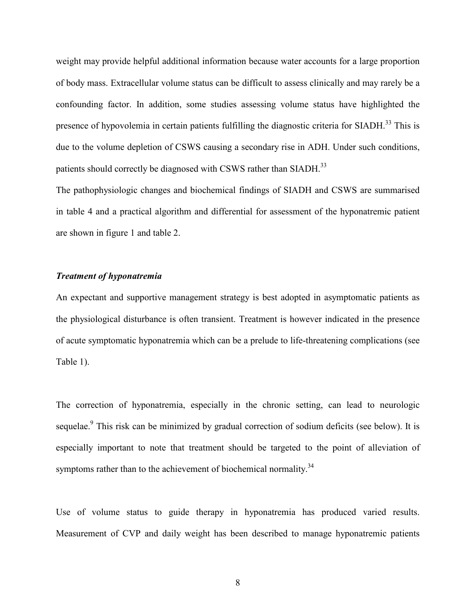weight may provide helpful additional information because water accounts for a large proportion of body mass. Extracellular volume status can be difficult to assess clinically and may rarely be a confounding factor. In addition, some studies assessing volume status have highlighted the presence of hypovolemia in certain patients fulfilling the diagnostic criteria for SIADH.<sup>33</sup> This is due to the volume depletion of CSWS causing a secondary rise in ADH. Under such conditions, patients should correctly be diagnosed with CSWS rather than SIADH.<sup>33</sup>

The pathophysiologic changes and biochemical findings of SIADH and CSWS are summarised in table 4 and a practical algorithm and differential for assessment of the hyponatremic patient are shown in figure 1 and table 2.

## Treatment of hyponatremia

An expectant and supportive management strategy is best adopted in asymptomatic patients as the physiological disturbance is often transient. Treatment is however indicated in the presence of acute symptomatic hyponatremia which can be a prelude to life-threatening complications (see Table 1).

The correction of hyponatremia, especially in the chronic setting, can lead to neurologic sequelae.<sup>9</sup> This risk can be minimized by gradual correction of sodium deficits (see below). It is especially important to note that treatment should be targeted to the point of alleviation of symptoms rather than to the achievement of biochemical normality.<sup>34</sup>

Use of volume status to guide therapy in hyponatremia has produced varied results. Measurement of CVP and daily weight has been described to manage hyponatremic patients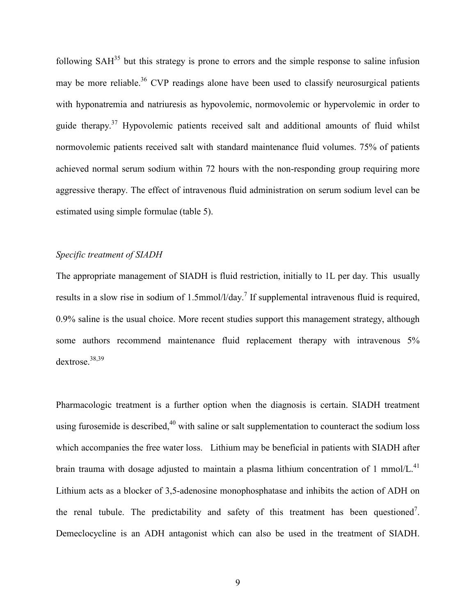following  $SAH<sup>35</sup>$  but this strategy is prone to errors and the simple response to saline infusion may be more reliable.<sup>36</sup> CVP readings alone have been used to classify neurosurgical patients with hyponatremia and natriuresis as hypovolemic, normovolemic or hypervolemic in order to guide therapy.<sup>37</sup> Hypovolemic patients received salt and additional amounts of fluid whilst normovolemic patients received salt with standard maintenance fluid volumes. 75% of patients achieved normal serum sodium within 72 hours with the non-responding group requiring more aggressive therapy. The effect of intravenous fluid administration on serum sodium level can be estimated using simple formulae (table 5).

# Specific treatment of SIADH

The appropriate management of SIADH is fluid restriction, initially to 1L per day. This usually results in a slow rise in sodium of 1.5mmol/l/day.<sup>7</sup> If supplemental intravenous fluid is required, 0.9% saline is the usual choice. More recent studies support this management strategy, although some authors recommend maintenance fluid replacement therapy with intravenous 5% dextrose.38,39

Pharmacologic treatment is a further option when the diagnosis is certain. SIADH treatment using furosemide is described.<sup>40</sup> with saline or salt supplementation to counteract the sodium loss which accompanies the free water loss. Lithium may be beneficial in patients with SIADH after brain trauma with dosage adjusted to maintain a plasma lithium concentration of 1 mmol/L.<sup>41</sup> Lithium acts as a blocker of 3,5-adenosine monophosphatase and inhibits the action of ADH on the renal tubule. The predictability and safety of this treatment has been questioned<sup>7</sup>. Demeclocycline is an ADH antagonist which can also be used in the treatment of SIADH.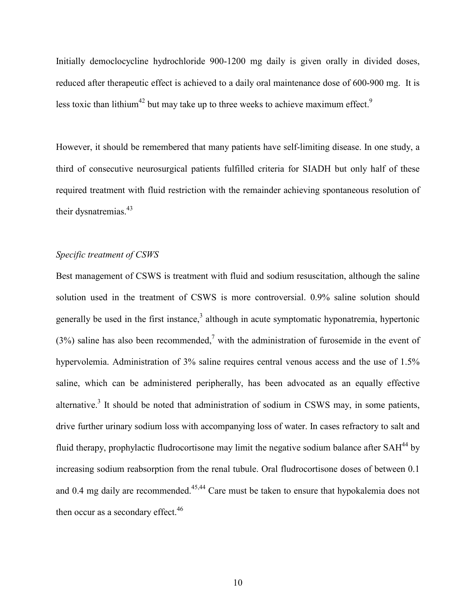Initially democlocycline hydrochloride 900-1200 mg daily is given orally in divided doses, reduced after therapeutic effect is achieved to a daily oral maintenance dose of 600-900 mg. It is less toxic than lithium<sup>42</sup> but may take up to three weeks to achieve maximum effect.<sup>9</sup>

However, it should be remembered that many patients have self-limiting disease. In one study, a third of consecutive neurosurgical patients fulfilled criteria for SIADH but only half of these required treatment with fluid restriction with the remainder achieving spontaneous resolution of their dysnatremias.<sup>43</sup>

# Specific treatment of CSWS

Best management of CSWS is treatment with fluid and sodium resuscitation, although the saline solution used in the treatment of CSWS is more controversial. 0.9% saline solution should generally be used in the first instance, $3$  although in acute symptomatic hyponatremia, hypertonic (3%) saline has also been recommended,<sup>7</sup> with the administration of furosemide in the event of hypervolemia. Administration of 3% saline requires central venous access and the use of 1.5% saline, which can be administered peripherally, has been advocated as an equally effective alternative.<sup>3</sup> It should be noted that administration of sodium in CSWS may, in some patients, drive further urinary sodium loss with accompanying loss of water. In cases refractory to salt and fluid therapy, prophylactic fludrocortisone may limit the negative sodium balance after SAH<sup>44</sup> by increasing sodium reabsorption from the renal tubule. Oral fludrocortisone doses of between 0.1 and 0.4 mg daily are recommended.<sup>45,44</sup> Care must be taken to ensure that hypokalemia does not then occur as a secondary effect.<sup>46</sup>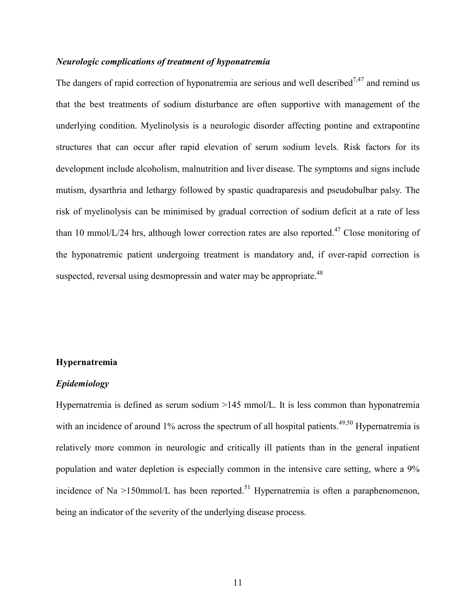### Neurologic complications of treatment of hyponatremia

The dangers of rapid correction of hyponatremia are serious and well described<sup>7,47</sup> and remind us that the best treatments of sodium disturbance are often supportive with management of the underlying condition. Myelinolysis is a neurologic disorder affecting pontine and extrapontine structures that can occur after rapid elevation of serum sodium levels. Risk factors for its development include alcoholism, malnutrition and liver disease. The symptoms and signs include mutism, dysarthria and lethargy followed by spastic quadraparesis and pseudobulbar palsy. The risk of myelinolysis can be minimised by gradual correction of sodium deficit at a rate of less than 10 mmol/L/24 hrs, although lower correction rates are also reported.<sup>47</sup> Close monitoring of the hyponatremic patient undergoing treatment is mandatory and, if over-rapid correction is suspected, reversal using desmopressin and water may be appropriate.<sup>48</sup>

#### Hypernatremia

#### Epidemiology

Hypernatremia is defined as serum sodium >145 mmol/L. It is less common than hyponatremia with an incidence of around  $1\%$  across the spectrum of all hospital patients.<sup>49,50</sup> Hypernatremia is relatively more common in neurologic and critically ill patients than in the general inpatient population and water depletion is especially common in the intensive care setting, where a 9% incidence of Na  $>150$ mmol/L has been reported.<sup>51</sup> Hypernatremia is often a paraphenomenon, being an indicator of the severity of the underlying disease process.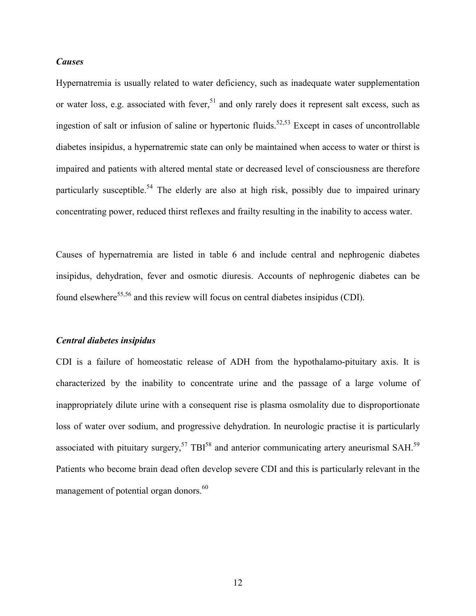#### Causes

Hypernatremia is usually related to water deficiency, such as inadequate water supplementation or water loss, e.g. associated with fever,  $51$  and only rarely does it represent salt excess, such as ingestion of salt or infusion of saline or hypertonic fluids.<sup>52,53</sup> Except in cases of uncontrollable diabetes insipidus, a hypernatremic state can only be maintained when access to water or thirst is impaired and patients with altered mental state or decreased level of consciousness are therefore particularly susceptible.<sup>54</sup> The elderly are also at high risk, possibly due to impaired urinary concentrating power, reduced thirst reflexes and frailty resulting in the inability to access water.

Causes of hypernatremia are listed in table 6 and include central and nephrogenic diabetes insipidus, dehydration, fever and osmotic diuresis. Accounts of nephrogenic diabetes can be found elsewhere<sup>55,56</sup> and this review will focus on central diabetes insipidus (CDI).

#### Central diabetes insipidus

CDI is a failure of homeostatic release of ADH from the hypothalamo-pituitary axis. It is characterized by the inability to concentrate urine and the passage of a large volume of inappropriately dilute urine with a consequent rise is plasma osmolality due to disproportionate loss of water over sodium, and progressive dehydration. In neurologic practise it is particularly associated with pituitary surgery,<sup>57</sup> TBI<sup>58</sup> and anterior communicating artery aneurismal SAH.<sup>59</sup> Patients who become brain dead often develop severe CDI and this is particularly relevant in the management of potential organ donors.<sup>60</sup>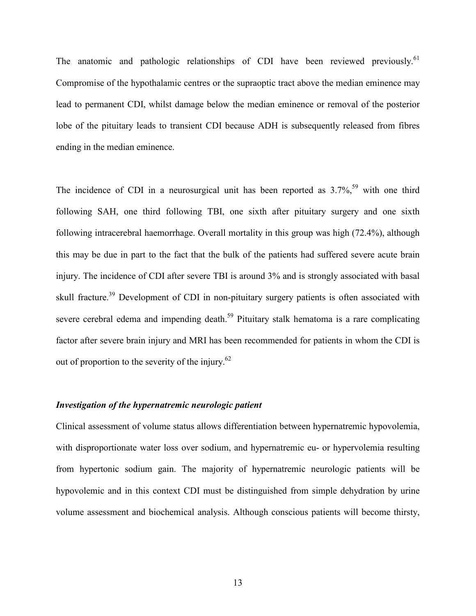The anatomic and pathologic relationships of CDI have been reviewed previously.<sup>61</sup> Compromise of the hypothalamic centres or the supraoptic tract above the median eminence may lead to permanent CDI, whilst damage below the median eminence or removal of the posterior lobe of the pituitary leads to transient CDI because ADH is subsequently released from fibres ending in the median eminence.

The incidence of CDI in a neurosurgical unit has been reported as  $3.7\%$ <sup>59</sup> with one third following SAH, one third following TBI, one sixth after pituitary surgery and one sixth following intracerebral haemorrhage. Overall mortality in this group was high (72.4%), although this may be due in part to the fact that the bulk of the patients had suffered severe acute brain injury. The incidence of CDI after severe TBI is around 3% and is strongly associated with basal skull fracture.<sup>39</sup> Development of CDI in non-pituitary surgery patients is often associated with severe cerebral edema and impending death.<sup>59</sup> Pituitary stalk hematoma is a rare complicating factor after severe brain injury and MRI has been recommended for patients in whom the CDI is out of proportion to the severity of the injury. $62$ 

#### Investigation of the hypernatremic neurologic patient

Clinical assessment of volume status allows differentiation between hypernatremic hypovolemia, with disproportionate water loss over sodium, and hypernatremic eu- or hypervolemia resulting from hypertonic sodium gain. The majority of hypernatremic neurologic patients will be hypovolemic and in this context CDI must be distinguished from simple dehydration by urine volume assessment and biochemical analysis. Although conscious patients will become thirsty,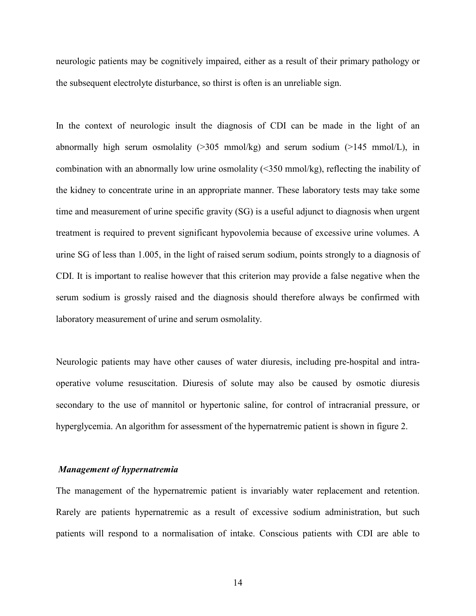neurologic patients may be cognitively impaired, either as a result of their primary pathology or the subsequent electrolyte disturbance, so thirst is often is an unreliable sign.

In the context of neurologic insult the diagnosis of CDI can be made in the light of an abnormally high serum osmolality  $(>305 \text{ mmol/kg})$  and serum sodium  $(>145 \text{ mmol/L})$ , in combination with an abnormally low urine osmolality (<350 mmol/kg), reflecting the inability of the kidney to concentrate urine in an appropriate manner. These laboratory tests may take some time and measurement of urine specific gravity (SG) is a useful adjunct to diagnosis when urgent treatment is required to prevent significant hypovolemia because of excessive urine volumes. A urine SG of less than 1.005, in the light of raised serum sodium, points strongly to a diagnosis of CDI. It is important to realise however that this criterion may provide a false negative when the serum sodium is grossly raised and the diagnosis should therefore always be confirmed with laboratory measurement of urine and serum osmolality.

Neurologic patients may have other causes of water diuresis, including pre-hospital and intraoperative volume resuscitation. Diuresis of solute may also be caused by osmotic diuresis secondary to the use of mannitol or hypertonic saline, for control of intracranial pressure, or hyperglycemia. An algorithm for assessment of the hypernatremic patient is shown in figure 2.

#### Management of hypernatremia

The management of the hypernatremic patient is invariably water replacement and retention. Rarely are patients hypernatremic as a result of excessive sodium administration, but such patients will respond to a normalisation of intake. Conscious patients with CDI are able to

14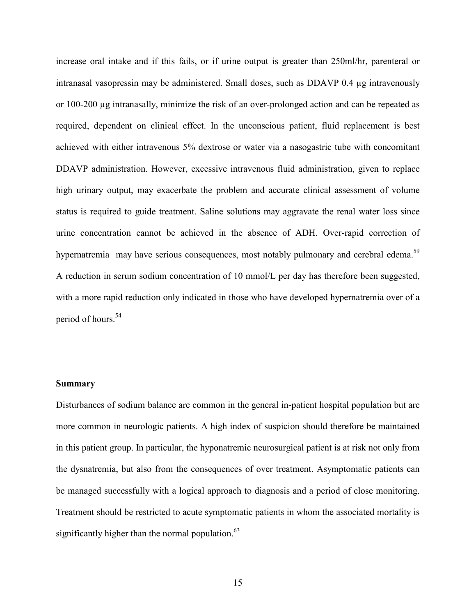increase oral intake and if this fails, or if urine output is greater than 250ml/hr, parenteral or intranasal vasopressin may be administered. Small doses, such as DDAVP 0.4 µg intravenously or 100-200 µg intranasally, minimize the risk of an over-prolonged action and can be repeated as required, dependent on clinical effect. In the unconscious patient, fluid replacement is best achieved with either intravenous 5% dextrose or water via a nasogastric tube with concomitant DDAVP administration. However, excessive intravenous fluid administration, given to replace high urinary output, may exacerbate the problem and accurate clinical assessment of volume status is required to guide treatment. Saline solutions may aggravate the renal water loss since urine concentration cannot be achieved in the absence of ADH. Over-rapid correction of hypernatremia may have serious consequences, most notably pulmonary and cerebral edema.<sup>59</sup> A reduction in serum sodium concentration of 10 mmol/L per day has therefore been suggested, with a more rapid reduction only indicated in those who have developed hypernatremia over of a period of hours.<sup>54</sup>

#### Summary

Disturbances of sodium balance are common in the general in-patient hospital population but are more common in neurologic patients. A high index of suspicion should therefore be maintained in this patient group. In particular, the hyponatremic neurosurgical patient is at risk not only from the dysnatremia, but also from the consequences of over treatment. Asymptomatic patients can be managed successfully with a logical approach to diagnosis and a period of close monitoring. Treatment should be restricted to acute symptomatic patients in whom the associated mortality is significantly higher than the normal population. $^{63}$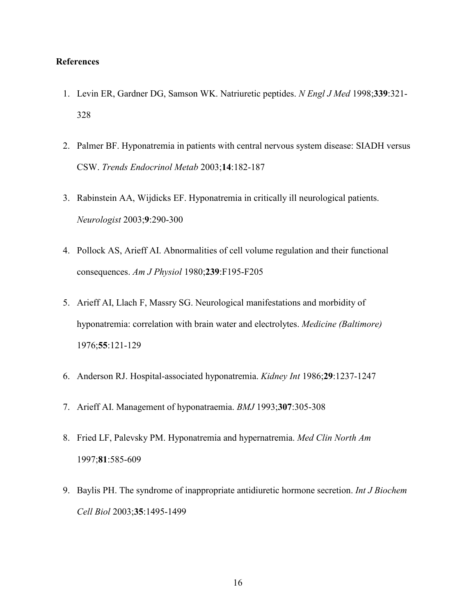# References

- 1. Levin ER, Gardner DG, Samson WK. Natriuretic peptides. N Engl J Med 1998;339:321-328
- 2. Palmer BF. Hyponatremia in patients with central nervous system disease: SIADH versus CSW. Trends Endocrinol Metab 2003;14:182-187
- 3. Rabinstein AA, Wijdicks EF. Hyponatremia in critically ill neurological patients. Neurologist 2003;9:290-300
- 4. Pollock AS, Arieff AI. Abnormalities of cell volume regulation and their functional consequences. Am J Physiol 1980;239:F195-F205
- 5. Arieff AI, Llach F, Massry SG. Neurological manifestations and morbidity of hyponatremia: correlation with brain water and electrolytes. *Medicine (Baltimore)* 1976;55:121-129
- 6. Anderson RJ. Hospital-associated hyponatremia. Kidney Int 1986;29:1237-1247
- 7. Arieff AI. Management of hyponatraemia. BMJ 1993;307:305-308
- 8. Fried LF, Palevsky PM. Hyponatremia and hypernatremia. Med Clin North Am 1997;81:585-609
- 9. Baylis PH. The syndrome of inappropriate antidiuretic hormone secretion. Int J Biochem Cell Biol 2003;35:1495-1499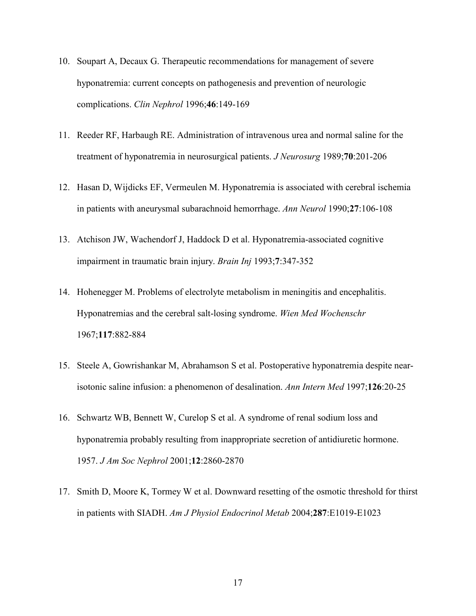- 10. Soupart A, Decaux G. Therapeutic recommendations for management of severe hyponatremia: current concepts on pathogenesis and prevention of neurologic complications. Clin Nephrol 1996;46:149-169
- 11. Reeder RF, Harbaugh RE. Administration of intravenous urea and normal saline for the treatment of hyponatremia in neurosurgical patients. J Neurosurg 1989;70:201-206
- 12. Hasan D, Wijdicks EF, Vermeulen M. Hyponatremia is associated with cerebral ischemia in patients with aneurysmal subarachnoid hemorrhage. Ann Neurol 1990;27:106-108
- 13. Atchison JW, Wachendorf J, Haddock D et al. Hyponatremia-associated cognitive impairment in traumatic brain injury. Brain Inj 1993;7:347-352
- 14. Hohenegger M. Problems of electrolyte metabolism in meningitis and encephalitis. Hyponatremias and the cerebral salt-losing syndrome. Wien Med Wochenschr 1967;117:882-884
- 15. Steele A, Gowrishankar M, Abrahamson S et al. Postoperative hyponatremia despite nearisotonic saline infusion: a phenomenon of desalination. Ann Intern Med 1997;126:20-25
- 16. Schwartz WB, Bennett W, Curelop S et al. A syndrome of renal sodium loss and hyponatremia probably resulting from inappropriate secretion of antidiuretic hormone. 1957. J Am Soc Nephrol 2001;12:2860-2870
- 17. Smith D, Moore K, Tormey W et al. Downward resetting of the osmotic threshold for thirst in patients with SIADH. Am J Physiol Endocrinol Metab 2004;287:E1019-E1023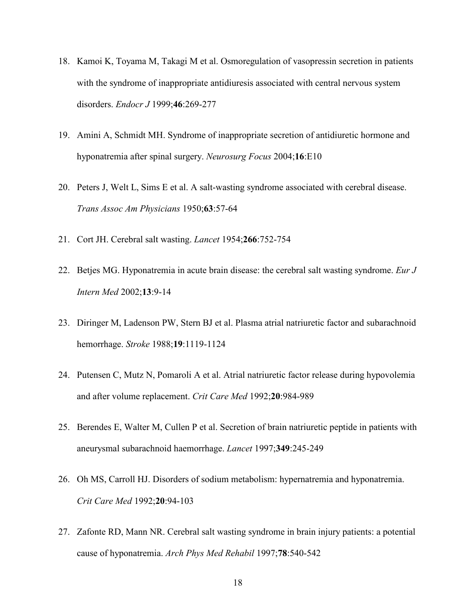- 18. Kamoi K, Toyama M, Takagi M et al. Osmoregulation of vasopressin secretion in patients with the syndrome of inappropriate antidiuresis associated with central nervous system disorders. Endocr J 1999;46:269-277
- 19. Amini A, Schmidt MH. Syndrome of inappropriate secretion of antidiuretic hormone and hyponatremia after spinal surgery. Neurosurg Focus 2004;16:E10
- 20. Peters J, Welt L, Sims E et al. A salt-wasting syndrome associated with cerebral disease. Trans Assoc Am Physicians 1950;63:57-64
- 21. Cort JH. Cerebral salt wasting. Lancet 1954;266:752-754
- 22. Betjes MG. Hyponatremia in acute brain disease: the cerebral salt wasting syndrome. Eur  $J$ Intern Med 2002;13:9-14
- 23. Diringer M, Ladenson PW, Stern BJ et al. Plasma atrial natriuretic factor and subarachnoid hemorrhage. Stroke 1988;19:1119-1124
- 24. Putensen C, Mutz N, Pomaroli A et al. Atrial natriuretic factor release during hypovolemia and after volume replacement. Crit Care Med 1992;20:984-989
- 25. Berendes E, Walter M, Cullen P et al. Secretion of brain natriuretic peptide in patients with aneurysmal subarachnoid haemorrhage. Lancet 1997;349:245-249
- 26. Oh MS, Carroll HJ. Disorders of sodium metabolism: hypernatremia and hyponatremia. Crit Care Med 1992;20:94-103
- 27. Zafonte RD, Mann NR. Cerebral salt wasting syndrome in brain injury patients: a potential cause of hyponatremia. Arch Phys Med Rehabil 1997;78:540-542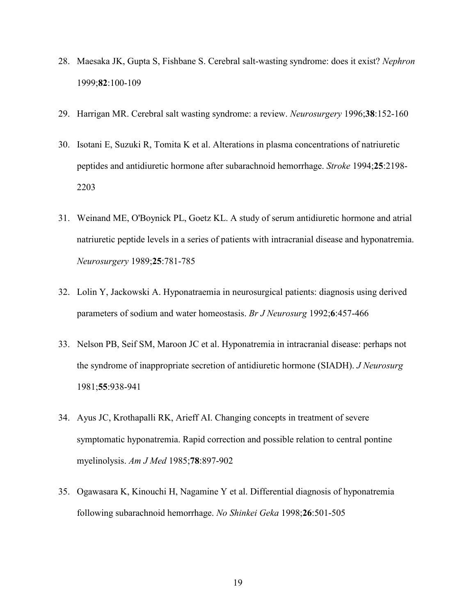- 28. Maesaka JK, Gupta S, Fishbane S. Cerebral salt-wasting syndrome: does it exist? Nephron 1999;82:100-109
- 29. Harrigan MR. Cerebral salt wasting syndrome: a review. Neurosurgery 1996;38:152-160
- 30. Isotani E, Suzuki R, Tomita K et al. Alterations in plasma concentrations of natriuretic peptides and antidiuretic hormone after subarachnoid hemorrhage. Stroke 1994;25:2198- 2203
- 31. Weinand ME, O'Boynick PL, Goetz KL. A study of serum antidiuretic hormone and atrial natriuretic peptide levels in a series of patients with intracranial disease and hyponatremia. Neurosurgery 1989;25:781-785
- 32. Lolin Y, Jackowski A. Hyponatraemia in neurosurgical patients: diagnosis using derived parameters of sodium and water homeostasis. Br J Neurosurg 1992;6:457-466
- 33. Nelson PB, Seif SM, Maroon JC et al. Hyponatremia in intracranial disease: perhaps not the syndrome of inappropriate secretion of antidiuretic hormone (SIADH). J Neurosurg 1981;55:938-941
- 34. Ayus JC, Krothapalli RK, Arieff AI. Changing concepts in treatment of severe symptomatic hyponatremia. Rapid correction and possible relation to central pontine myelinolysis. Am J Med 1985;78:897-902
- 35. Ogawasara K, Kinouchi H, Nagamine Y et al. Differential diagnosis of hyponatremia following subarachnoid hemorrhage. No Shinkei Geka 1998;26:501-505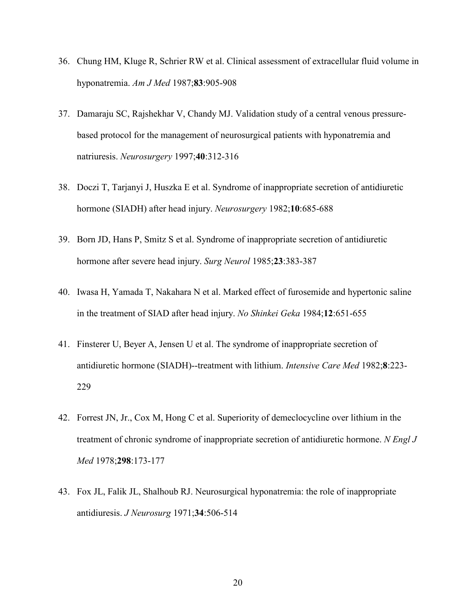- 36. Chung HM, Kluge R, Schrier RW et al. Clinical assessment of extracellular fluid volume in hyponatremia. Am J Med 1987;83:905-908
- 37. Damaraju SC, Rajshekhar V, Chandy MJ. Validation study of a central venous pressurebased protocol for the management of neurosurgical patients with hyponatremia and natriuresis. Neurosurgery 1997;40:312-316
- 38. Doczi T, Tarjanyi J, Huszka E et al. Syndrome of inappropriate secretion of antidiuretic hormone (SIADH) after head injury. Neurosurgery 1982;10:685-688
- 39. Born JD, Hans P, Smitz S et al. Syndrome of inappropriate secretion of antidiuretic hormone after severe head injury. Surg Neurol 1985;23:383-387
- 40. Iwasa H, Yamada T, Nakahara N et al. Marked effect of furosemide and hypertonic saline in the treatment of SIAD after head injury. No Shinkei Geka 1984;12:651-655
- 41. Finsterer U, Beyer A, Jensen U et al. The syndrome of inappropriate secretion of antidiuretic hormone (SIADH)--treatment with lithium. Intensive Care Med 1982;8:223- 229
- 42. Forrest JN, Jr., Cox M, Hong C et al. Superiority of demeclocycline over lithium in the treatment of chronic syndrome of inappropriate secretion of antidiuretic hormone. N Engl J Med 1978;298:173-177
- 43. Fox JL, Falik JL, Shalhoub RJ. Neurosurgical hyponatremia: the role of inappropriate antidiuresis. J Neurosurg 1971;34:506-514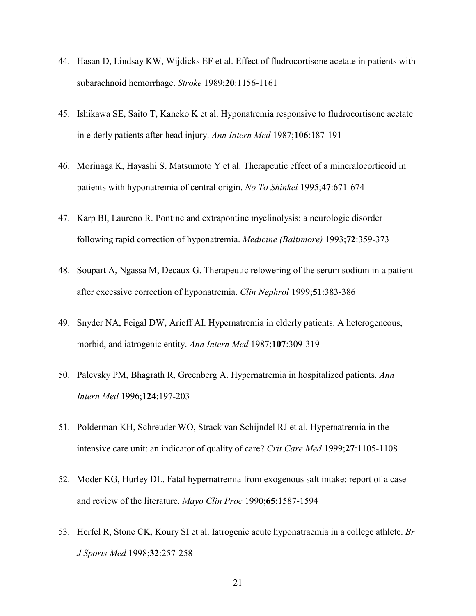- 44. Hasan D, Lindsay KW, Wijdicks EF et al. Effect of fludrocortisone acetate in patients with subarachnoid hemorrhage. Stroke 1989;20:1156-1161
- 45. Ishikawa SE, Saito T, Kaneko K et al. Hyponatremia responsive to fludrocortisone acetate in elderly patients after head injury. Ann Intern Med 1987;106:187-191
- 46. Morinaga K, Hayashi S, Matsumoto Y et al. Therapeutic effect of a mineralocorticoid in patients with hyponatremia of central origin. No To Shinkei 1995;47:671-674
- 47. Karp BI, Laureno R. Pontine and extrapontine myelinolysis: a neurologic disorder following rapid correction of hyponatremia. Medicine (Baltimore) 1993;72:359-373
- 48. Soupart A, Ngassa M, Decaux G. Therapeutic relowering of the serum sodium in a patient after excessive correction of hyponatremia. Clin Nephrol 1999;51:383-386
- 49. Snyder NA, Feigal DW, Arieff AI. Hypernatremia in elderly patients. A heterogeneous, morbid, and iatrogenic entity. Ann Intern Med 1987;107:309-319
- 50. Palevsky PM, Bhagrath R, Greenberg A. Hypernatremia in hospitalized patients. Ann Intern Med 1996;124:197-203
- 51. Polderman KH, Schreuder WO, Strack van Schijndel RJ et al. Hypernatremia in the intensive care unit: an indicator of quality of care? Crit Care Med 1999;27:1105-1108
- 52. Moder KG, Hurley DL. Fatal hypernatremia from exogenous salt intake: report of a case and review of the literature. Mayo Clin Proc 1990;65:1587-1594
- 53. Herfel R, Stone CK, Koury SI et al. Iatrogenic acute hyponatraemia in a college athlete. Br J Sports Med 1998;32:257-258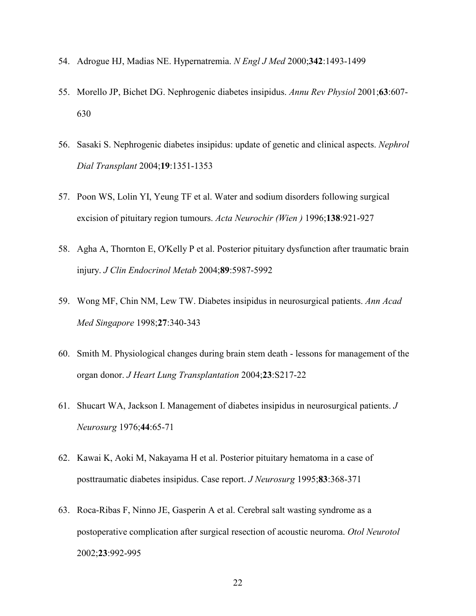- 54. Adrogue HJ, Madias NE. Hypernatremia. N Engl J Med 2000;342:1493-1499
- 55. Morello JP, Bichet DG. Nephrogenic diabetes insipidus. Annu Rev Physiol 2001;63:607- 630
- 56. Sasaki S. Nephrogenic diabetes insipidus: update of genetic and clinical aspects. Nephrol Dial Transplant 2004;19:1351-1353
- 57. Poon WS, Lolin YI, Yeung TF et al. Water and sodium disorders following surgical excision of pituitary region tumours. Acta Neurochir (Wien ) 1996;138:921-927
- 58. Agha A, Thornton E, O'Kelly P et al. Posterior pituitary dysfunction after traumatic brain injury. J Clin Endocrinol Metab 2004;89:5987-5992
- 59. Wong MF, Chin NM, Lew TW. Diabetes insipidus in neurosurgical patients. Ann Acad Med Singapore 1998;27:340-343
- 60. Smith M. Physiological changes during brain stem death lessons for management of the organ donor. J Heart Lung Transplantation 2004;23:S217-22
- 61. Shucart WA, Jackson I. Management of diabetes insipidus in neurosurgical patients. J Neurosurg 1976;44:65-71
- 62. Kawai K, Aoki M, Nakayama H et al. Posterior pituitary hematoma in a case of posttraumatic diabetes insipidus. Case report. J Neurosurg 1995;83:368-371
- 63. Roca-Ribas F, Ninno JE, Gasperin A et al. Cerebral salt wasting syndrome as a postoperative complication after surgical resection of acoustic neuroma. Otol Neurotol 2002;23:992-995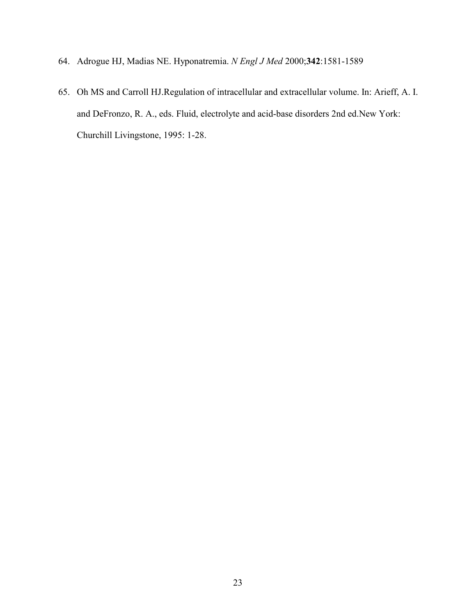- 64. Adrogue HJ, Madias NE. Hyponatremia. N Engl J Med 2000;342:1581-1589
- 65. Oh MS and Carroll HJ.Regulation of intracellular and extracellular volume. In: Arieff, A. I. and DeFronzo, R. A., eds. Fluid, electrolyte and acid-base disorders 2nd ed.New York: Churchill Livingstone, 1995: 1-28.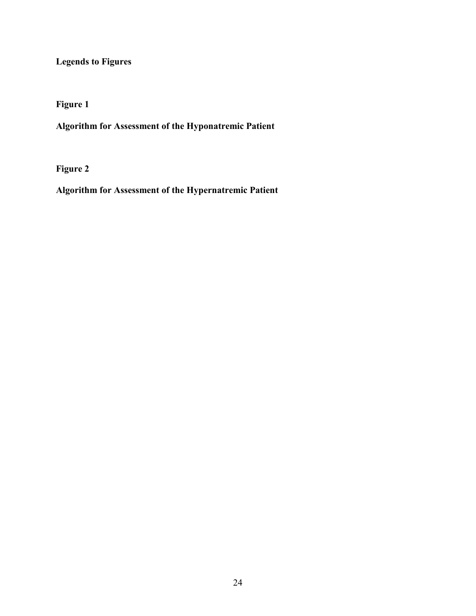Legends to Figures

Figure 1

Algorithm for Assessment of the Hyponatremic Patient

Figure 2

Algorithm for Assessment of the Hypernatremic Patient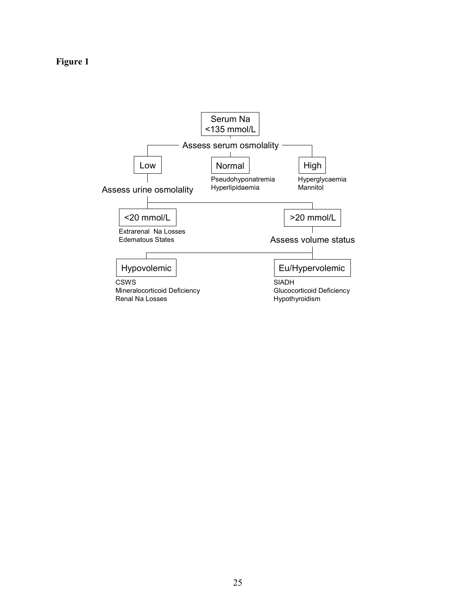# Figure 1

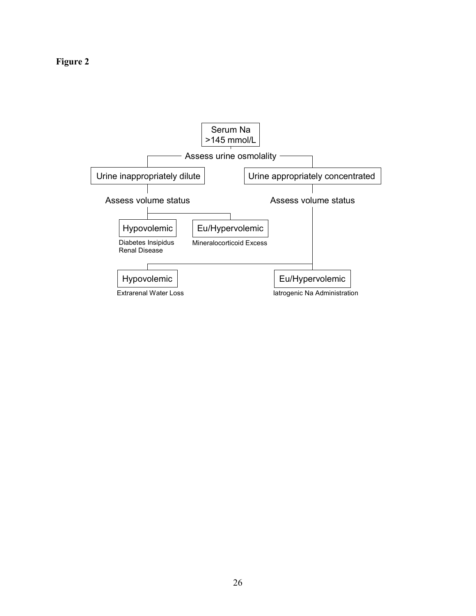Figure 2

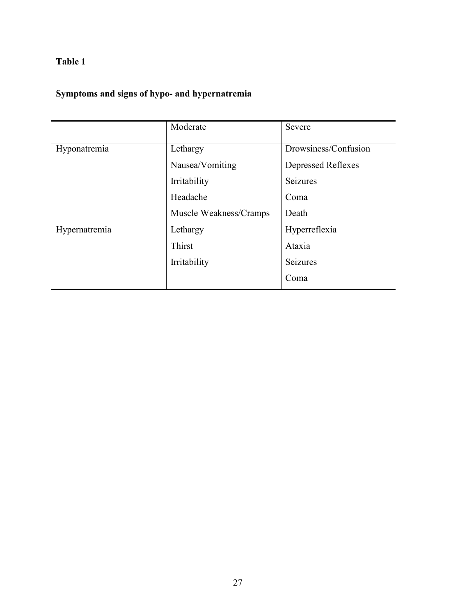# Symptoms and signs of hypo- and hypernatremia

|               | Moderate               | Severe               |  |
|---------------|------------------------|----------------------|--|
| Hyponatremia  | Lethargy               | Drowsiness/Confusion |  |
|               | Nausea/Vomiting        | Depressed Reflexes   |  |
|               | Irritability           | Seizures             |  |
|               | Headache               | Coma                 |  |
|               | Muscle Weakness/Cramps | Death                |  |
| Hypernatremia | Lethargy               | Hyperreflexia        |  |
|               | Thirst                 | Ataxia               |  |
|               | Irritability           | Seizures             |  |
|               |                        | Coma                 |  |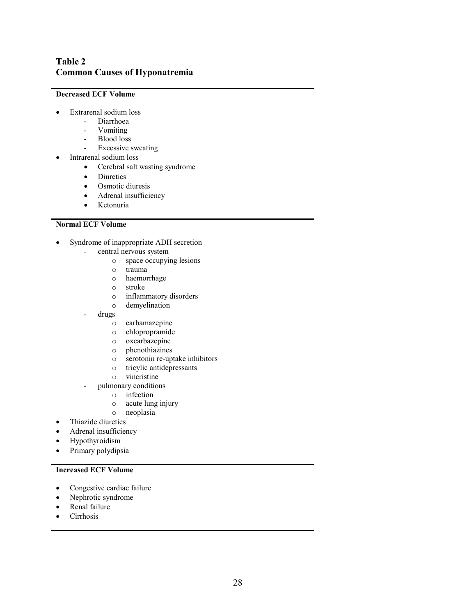# Table 2 Common Causes of Hyponatremia

#### Decreased ECF Volume

- Extrarenal sodium loss
	- Diarrhoea
	- Vomiting
	- Blood loss
	- Excessive sweating
- Intrarenal sodium loss
	- Cerebral salt wasting syndrome
	- Diuretics
	- Osmotic diuresis
	- Adrenal insufficiency
	- Ketonuria

#### Normal ECF Volume

- Syndrome of inappropriate ADH secretion
	- central nervous system
		- o space occupying lesions
		- o trauma
		- o haemorrhage
		- o stroke
		- o inflammatory disorders
		- o demyelination
	- drugs
		- o carbamazepine
		- o chlopropramide
		- o oxcarbazepine
		- o phenothiazines
		- o serotonin re-uptake inhibitors
		- o tricylic antidepressants
		- o vincristine
		- pulmonary conditions
			- o infection
			- o acute lung injury
		- o neoplasia
- Thiazide diuretics
- Adrenal insufficiency
- Hypothyroidism
- Primary polydipsia

#### Increased ECF Volume

- Congestive cardiac failure
- Nephrotic syndrome
- Renal failure
- Cirrhosis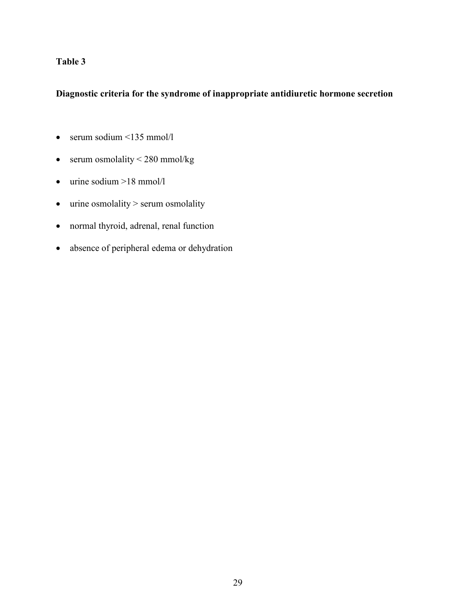# Diagnostic criteria for the syndrome of inappropriate antidiuretic hormone secretion

- serum sodium  $\leq$ 135 mmol/l
- serum osmolality  $< 280$  mmol/kg
- urine sodium  $>18$  mmol/l
- urine osmolality > serum osmolality
- normal thyroid, adrenal, renal function
- absence of peripheral edema or dehydration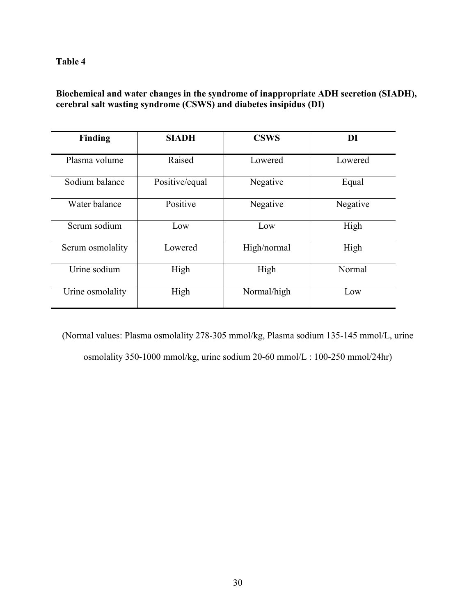# Biochemical and water changes in the syndrome of inappropriate ADH secretion (SIADH), cerebral salt wasting syndrome (CSWS) and diabetes insipidus (DI)

| <b>Finding</b>   | <b>SIADH</b>   | <b>CSWS</b> | DI       |
|------------------|----------------|-------------|----------|
| Plasma volume    | Raised         | Lowered     | Lowered  |
| Sodium balance   | Positive/equal | Negative    | Equal    |
| Water balance    | Positive       | Negative    | Negative |
| Serum sodium     | Low            | Low         | High     |
| Serum osmolality | Lowered        | High/normal | High     |
| Urine sodium     | High           | High        | Normal   |
| Urine osmolality | High           | Normal/high | Low      |

(Normal values: Plasma osmolality 278-305 mmol/kg, Plasma sodium 135-145 mmol/L, urine osmolality 350-1000 mmol/kg, urine sodium 20-60 mmol/L : 100-250 mmol/24hr)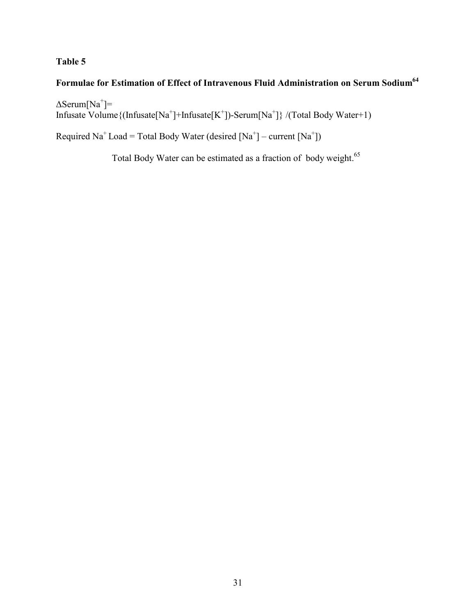# Formulae for Estimation of Effect of Intravenous Fluid Administration on Serum Sodium<sup>64</sup>

∆Serum[Na<sup>+</sup> ]= Infusate Volume{(Infusate[Na<sup>+</sup> ]+Infusate[K<sup>+</sup> ])-Serum[Na<sup>+</sup> ]} /(Total Body Water+1)

Required Na<sup>+</sup> Load = Total Body Water (desired  $[Na^+]$  – current  $[Na^+]$ )

Total Body Water can be estimated as a fraction of body weight.<sup>65</sup>